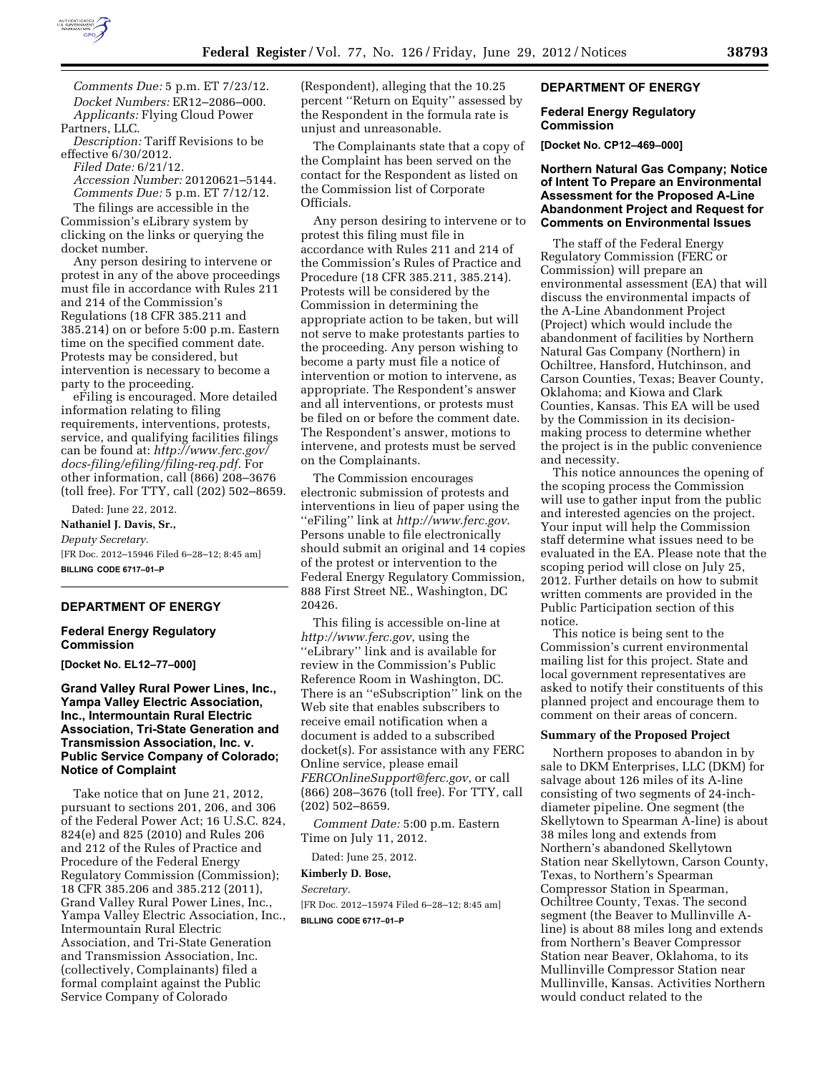

*Comments Due:* 5 p.m. ET 7/23/12. *Docket Numbers:* ER12–2086–000. *Applicants:* Flying Cloud Power Partners, LLC.

*Description:* Tariff Revisions to be effective 6/30/2012.

*Filed Date:* 6/21/12. *Accession Number:* 20120621–5144. *Comments Due:* 5 p.m. ET 7/12/12.

The filings are accessible in the Commission's eLibrary system by clicking on the links or querying the docket number.

Any person desiring to intervene or protest in any of the above proceedings must file in accordance with Rules 211 and 214 of the Commission's Regulations (18 CFR 385.211 and 385.214) on or before 5:00 p.m. Eastern time on the specified comment date. Protests may be considered, but intervention is necessary to become a party to the proceeding.

eFiling is encouraged. More detailed information relating to filing requirements, interventions, protests, service, and qualifying facilities filings can be found at: *[http://www.ferc.gov/](http://www.ferc.gov/docs-filing/efiling/filing-req.pdf)  [docs-filing/efiling/filing-req.pdf.](http://www.ferc.gov/docs-filing/efiling/filing-req.pdf)* For other information, call (866) 208–3676 (toll free). For TTY, call (202) 502–8659.

Dated: June 22, 2012.

**Nathaniel J. Davis, Sr.,**  *Deputy Secretary.*  [FR Doc. 2012–15946 Filed 6–28–12; 8:45 am] **BILLING CODE 6717–01–P** 

#### **DEPARTMENT OF ENERGY**

## **Federal Energy Regulatory Commission**

**[Docket No. EL12–77–000]** 

## **Grand Valley Rural Power Lines, Inc., Yampa Valley Electric Association, Inc., Intermountain Rural Electric Association, Tri-State Generation and Transmission Association, Inc. v. Public Service Company of Colorado; Notice of Complaint**

Take notice that on June 21, 2012, pursuant to sections 201, 206, and 306 of the Federal Power Act; 16 U.S.C. 824, 824(e) and 825 (2010) and Rules 206 and 212 of the Rules of Practice and Procedure of the Federal Energy Regulatory Commission (Commission); 18 CFR 385.206 and 385.212 (2011), Grand Valley Rural Power Lines, Inc., Yampa Valley Electric Association, Inc., Intermountain Rural Electric Association, and Tri-State Generation and Transmission Association, Inc. (collectively, Complainants) filed a formal complaint against the Public Service Company of Colorado

(Respondent), alleging that the 10.25 percent ''Return on Equity'' assessed by the Respondent in the formula rate is unjust and unreasonable.

The Complainants state that a copy of the Complaint has been served on the contact for the Respondent as listed on the Commission list of Corporate Officials.

Any person desiring to intervene or to protest this filing must file in accordance with Rules 211 and 214 of the Commission's Rules of Practice and Procedure (18 CFR 385.211, 385.214). Protests will be considered by the Commission in determining the appropriate action to be taken, but will not serve to make protestants parties to the proceeding. Any person wishing to become a party must file a notice of intervention or motion to intervene, as appropriate. The Respondent's answer and all interventions, or protests must be filed on or before the comment date. The Respondent's answer, motions to intervene, and protests must be served on the Complainants.

The Commission encourages electronic submission of protests and interventions in lieu of paper using the ''eFiling'' link at *<http://www.ferc.gov>*. Persons unable to file electronically should submit an original and 14 copies of the protest or intervention to the Federal Energy Regulatory Commission, 888 First Street NE., Washington, DC 20426.

This filing is accessible on-line at *<http://www.ferc.gov>*, using the ''eLibrary'' link and is available for review in the Commission's Public Reference Room in Washington, DC. There is an ''eSubscription'' link on the Web site that enables subscribers to receive email notification when a document is added to a subscribed docket(s). For assistance with any FERC Online service, please email *[FERCOnlineSupport@ferc.gov](mailto:FERCOnlineSupport@ferc.gov)*, or call (866) 208–3676 (toll free). For TTY, call (202) 502–8659.

*Comment Date:* 5:00 p.m. Eastern Time on July 11, 2012.

Dated: June 25, 2012.

# **Kimberly D. Bose,**

*Secretary.*  [FR Doc. 2012–15974 Filed 6–28–12; 8:45 am]

**BILLING CODE 6717–01–P** 

### **DEPARTMENT OF ENERGY**

### **Federal Energy Regulatory Commission**

**[Docket No. CP12–469–000]** 

## **Northern Natural Gas Company; Notice of Intent To Prepare an Environmental Assessment for the Proposed A-Line Abandonment Project and Request for Comments on Environmental Issues**

The staff of the Federal Energy Regulatory Commission (FERC or Commission) will prepare an environmental assessment (EA) that will discuss the environmental impacts of the A-Line Abandonment Project (Project) which would include the abandonment of facilities by Northern Natural Gas Company (Northern) in Ochiltree, Hansford, Hutchinson, and Carson Counties, Texas; Beaver County, Oklahoma; and Kiowa and Clark Counties, Kansas. This EA will be used by the Commission in its decisionmaking process to determine whether the project is in the public convenience and necessity.

This notice announces the opening of the scoping process the Commission will use to gather input from the public and interested agencies on the project. Your input will help the Commission staff determine what issues need to be evaluated in the EA. Please note that the scoping period will close on July 25, 2012. Further details on how to submit written comments are provided in the Public Participation section of this notice.

This notice is being sent to the Commission's current environmental mailing list for this project. State and local government representatives are asked to notify their constituents of this planned project and encourage them to comment on their areas of concern.

### **Summary of the Proposed Project**

Northern proposes to abandon in by sale to DKM Enterprises, LLC (DKM) for salvage about 126 miles of its A-line consisting of two segments of 24-inchdiameter pipeline. One segment (the Skellytown to Spearman A-line) is about 38 miles long and extends from Northern's abandoned Skellytown Station near Skellytown, Carson County, Texas, to Northern's Spearman Compressor Station in Spearman, Ochiltree County, Texas. The second segment (the Beaver to Mullinville Aline) is about 88 miles long and extends from Northern's Beaver Compressor Station near Beaver, Oklahoma, to its Mullinville Compressor Station near Mullinville, Kansas. Activities Northern would conduct related to the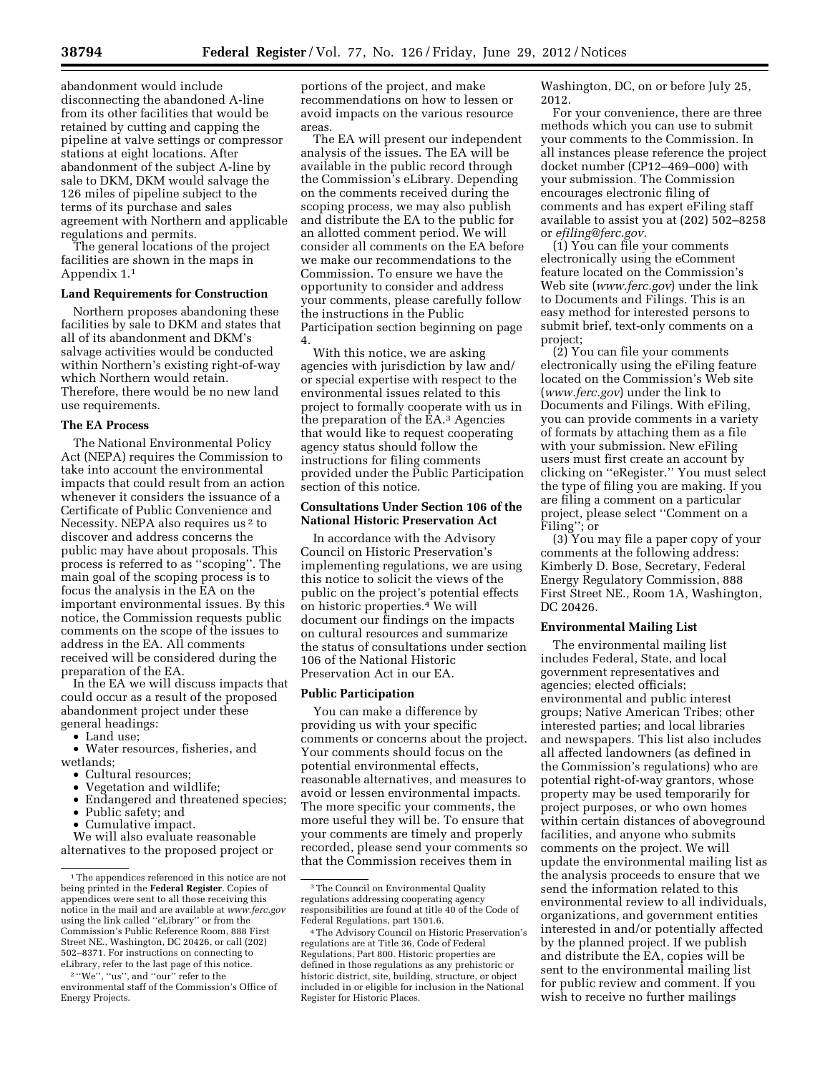abandonment would include disconnecting the abandoned A-line from its other facilities that would be retained by cutting and capping the pipeline at valve settings or compressor stations at eight locations. After abandonment of the subject A-line by sale to DKM, DKM would salvage the 126 miles of pipeline subject to the terms of its purchase and sales agreement with Northern and applicable regulations and permits.

The general locations of the project facilities are shown in the maps in Appendix 1.1

#### **Land Requirements for Construction**

Northern proposes abandoning these facilities by sale to DKM and states that all of its abandonment and DKM's salvage activities would be conducted within Northern's existing right-of-way which Northern would retain. Therefore, there would be no new land use requirements.

#### **The EA Process**

The National Environmental Policy Act (NEPA) requires the Commission to take into account the environmental impacts that could result from an action whenever it considers the issuance of a Certificate of Public Convenience and Necessity. NEPA also requires us<sup>2</sup> to discover and address concerns the public may have about proposals. This process is referred to as ''scoping''. The main goal of the scoping process is to focus the analysis in the EA on the important environmental issues. By this notice, the Commission requests public comments on the scope of the issues to address in the EA. All comments received will be considered during the preparation of the EA.

In the EA we will discuss impacts that could occur as a result of the proposed abandonment project under these general headings:

- Land use;
- Water resources, fisheries, and wetlands;
	- Cultural resources;<br>• Vegetation and wil
	- Vegetation and wildlife;
	- Endangered and threatened species;
	- Public safety; and
	- Cumulative impact.

We will also evaluate reasonable alternatives to the proposed project or

2 ''We'', ''us'', and ''our'' refer to the environmental staff of the Commission's Office of Energy Projects.

portions of the project, and make recommendations on how to lessen or avoid impacts on the various resource areas.

The EA will present our independent analysis of the issues. The EA will be available in the public record through the Commission's eLibrary. Depending on the comments received during the scoping process, we may also publish and distribute the EA to the public for an allotted comment period. We will consider all comments on the EA before we make our recommendations to the Commission. To ensure we have the opportunity to consider and address your comments, please carefully follow the instructions in the Public Participation section beginning on page 4.

With this notice, we are asking agencies with jurisdiction by law and/ or special expertise with respect to the environmental issues related to this project to formally cooperate with us in the preparation of the EA.3 Agencies that would like to request cooperating agency status should follow the instructions for filing comments provided under the Public Participation section of this notice.

### **Consultations Under Section 106 of the National Historic Preservation Act**

In accordance with the Advisory Council on Historic Preservation's implementing regulations, we are using this notice to solicit the views of the public on the project's potential effects on historic properties.4 We will document our findings on the impacts on cultural resources and summarize the status of consultations under section 106 of the National Historic Preservation Act in our EA.

#### **Public Participation**

You can make a difference by providing us with your specific comments or concerns about the project. Your comments should focus on the potential environmental effects, reasonable alternatives, and measures to avoid or lessen environmental impacts. The more specific your comments, the more useful they will be. To ensure that your comments are timely and properly recorded, please send your comments so that the Commission receives them in

Washington, DC, on or before July 25, 2012.

For your convenience, there are three methods which you can use to submit your comments to the Commission. In all instances please reference the project docket number (CP12–469–000) with your submission. The Commission encourages electronic filing of comments and has expert eFiling staff available to assist you at (202) 502–8258 or *[efiling@ferc.gov.](mailto:efiling@ferc.gov)* 

(1) You can file your comments electronically using the eComment feature located on the Commission's Web site (*[www.ferc.gov](http://www.ferc.gov)*) under the link to Documents and Filings. This is an easy method for interested persons to submit brief, text-only comments on a project;

(2) You can file your comments electronically using the eFiling feature located on the Commission's Web site (*[www.ferc.gov](http://www.ferc.gov)*) under the link to Documents and Filings. With eFiling, you can provide comments in a variety of formats by attaching them as a file with your submission. New eFiling users must first create an account by clicking on ''eRegister.'' You must select the type of filing you are making. If you are filing a comment on a particular project, please select ''Comment on a Filing''; or

(3) You may file a paper copy of your comments at the following address: Kimberly D. Bose, Secretary, Federal Energy Regulatory Commission, 888 First Street NE., Room 1A, Washington, DC 20426.

#### **Environmental Mailing List**

The environmental mailing list includes Federal, State, and local government representatives and agencies; elected officials; environmental and public interest groups; Native American Tribes; other interested parties; and local libraries and newspapers. This list also includes all affected landowners (as defined in the Commission's regulations) who are potential right-of-way grantors, whose property may be used temporarily for project purposes, or who own homes within certain distances of aboveground facilities, and anyone who submits comments on the project. We will update the environmental mailing list as the analysis proceeds to ensure that we send the information related to this environmental review to all individuals, organizations, and government entities interested in and/or potentially affected by the planned project. If we publish and distribute the EA, copies will be sent to the environmental mailing list for public review and comment. If you wish to receive no further mailings

<sup>&</sup>lt;sup>1</sup> The appendices referenced in this notice are not being printed in the **Federal Register**. Copies of appendices were sent to all those receiving this notice in the mail and are available at *[www.ferc.gov](http://www.ferc.gov)*  using the link called ''eLibrary'' or from the Commission's Public Reference Room, 888 First Street NE., Washington, DC 20426, or call (202) 502–8371. For instructions on connecting to eLibrary, refer to the last page of this notice.

<sup>3</sup>The Council on Environmental Quality regulations addressing cooperating agency responsibilities are found at title 40 of the Code of Federal Regulations, part 1501.6.

<sup>4</sup>The Advisory Council on Historic Preservation's regulations are at Title 36, Code of Federal Regulations, Part 800. Historic properties are defined in those regulations as any prehistoric or historic district, site, building, structure, or object included in or eligible for inclusion in the National Register for Historic Places.